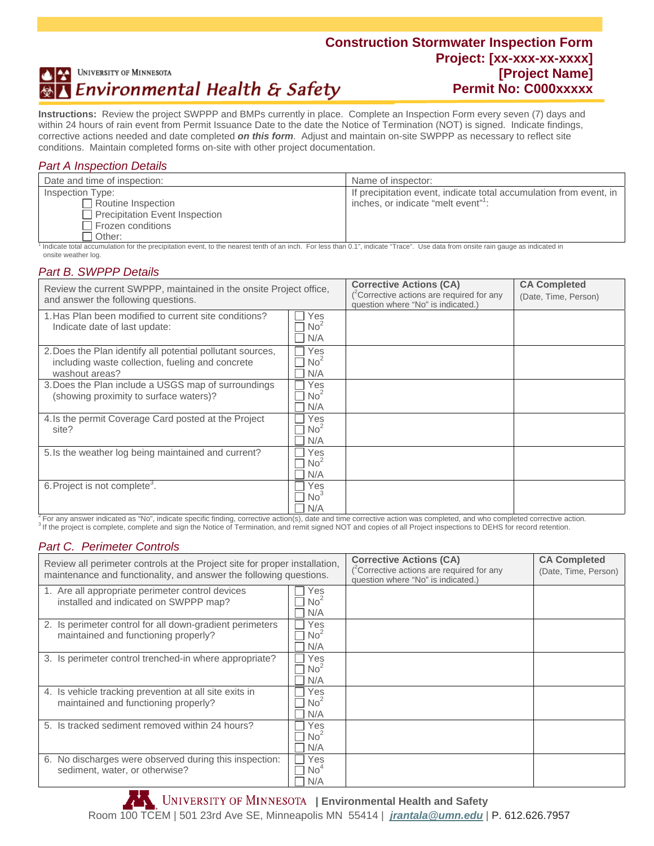#### **Construction Stormwater Inspection Form Project: [xx-xxx-xx-xxxx]**  UNIVERSITY OF MINNESOTA **[Project Name]**  Environmental Health & Safety **Permit No: C000xxxxx**

**Instructions:**Review the project SWPPP and BMPs currently in place. Complete an Inspection Form every seven (7) days and within 24 hours of rain event from Permit Issuance Date to the date the Notice of Termination (NOT) is signed. Indicate findings, corrective actions needed and date completed *on this form*. Adjust and maintain on-site SWPPP as necessary to reflect site conditions. Maintain completed forms on-site with other project documentation.

#### *Part A Inspection Details*

| Date and time of inspection:   | Name of inspector:                                                 |
|--------------------------------|--------------------------------------------------------------------|
| Inspection Type:               | If precipitation event, indicate total accumulation from event, in |
| Routine Inspection             | inches, or indicate "melt event" <sup>1</sup> :                    |
| Precipitation Event Inspection |                                                                    |
| Frozen conditions              |                                                                    |
| Other:                         |                                                                    |

<sup>1</sup> Indicate total accumulation for the precipitation event, to the nearest tenth of an inch. For less than 0.1", indicate "Trace". Use data from onsite rain gauge as indicated in onsite weather log.

## *Part B. SWPPP Details*

| Review the current SWPPP, maintained in the onsite Project office,<br>and answer the following questions.                                                                                                          |                                                          | <b>Corrective Actions (CA)</b><br>$(^2$ Corrective actions are required for any<br>question where "No" is indicated.) | <b>CA Completed</b><br>(Date, Time, Person) |
|--------------------------------------------------------------------------------------------------------------------------------------------------------------------------------------------------------------------|----------------------------------------------------------|-----------------------------------------------------------------------------------------------------------------------|---------------------------------------------|
| 1. Has Plan been modified to current site conditions?<br>Indicate date of last update:                                                                                                                             | Yes<br>$\Box$ No <sup>2</sup><br>N/A<br>$\Box$           |                                                                                                                       |                                             |
| 2. Does the Plan identify all potential pollutant sources,<br>including waste collection, fueling and concrete<br>washout areas?                                                                                   | Yes<br>$\Box$<br>$\Box$ No <sup>2</sup><br>N/A<br>$\Box$ |                                                                                                                       |                                             |
| 3. Does the Plan include a USGS map of surroundings<br>(showing proximity to surface waters)?                                                                                                                      | Yes<br>No <sup>2</sup><br>N/A                            |                                                                                                                       |                                             |
| 4. Is the permit Coverage Card posted at the Project<br>site?                                                                                                                                                      | Yes<br>No <sup>2</sup><br>N/A                            |                                                                                                                       |                                             |
| 5. Is the weather log being maintained and current?                                                                                                                                                                | Yes<br>No <sup>2</sup><br>N/A                            |                                                                                                                       |                                             |
| 6. Project is not complete <sup>3</sup> .<br>$^2$ Equipment indicated as "No", indicate specific finding, corrective action(s), date and time corrective action was completed, and who completed corrective action | Yes<br>No <sup>3</sup><br>N/A                            |                                                                                                                       |                                             |

<sup>3</sup> If the project is complete, complete and sign the Notice of Termination, and remit signed NOT and copies of all Project inspections to DEHS for record retention.

#### *Part C. Perimeter Controls*

| Review all perimeter controls at the Project site for proper installation,<br>maintenance and functionality, and answer the following questions. |                               | <b>Corrective Actions (CA)</b><br>$(^2$ Corrective actions are required for any<br>question where "No" is indicated.) | <b>CA Completed</b><br>(Date, Time, Person) |
|--------------------------------------------------------------------------------------------------------------------------------------------------|-------------------------------|-----------------------------------------------------------------------------------------------------------------------|---------------------------------------------|
| 1. Are all appropriate perimeter control devices<br>installed and indicated on SWPPP map?                                                        | Yes<br>No <sup>2</sup><br>N/A |                                                                                                                       |                                             |
| 2. Is perimeter control for all down-gradient perimeters<br>maintained and functioning properly?                                                 | Yes<br>No <sup>2</sup><br>N/A |                                                                                                                       |                                             |
| 3. Is perimeter control trenched-in where appropriate?                                                                                           | Yes<br>No <sup>2</sup><br>N/A |                                                                                                                       |                                             |
| 4. Is vehicle tracking prevention at all site exits in<br>maintained and functioning properly?                                                   | Yes<br>No <sup>2</sup><br>N/A |                                                                                                                       |                                             |
| 5. Is tracked sediment removed within 24 hours?                                                                                                  | Yes<br>No <sup>2</sup><br>N/A |                                                                                                                       |                                             |
| 6. No discharges were observed during this inspection:<br>sediment, water, or otherwise?                                                         | Yes<br>No"<br>N/A             |                                                                                                                       |                                             |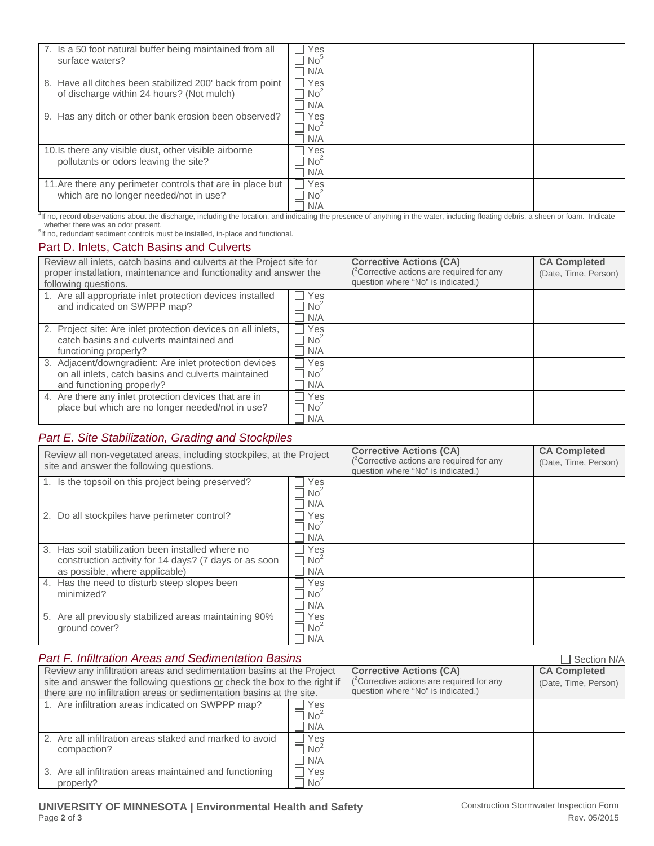| 7. Is a 50 foot natural buffer being maintained from all<br>surface waters?                                                                                                                     | Yes<br>No <sup>5</sup><br>N/A                   |  |
|-------------------------------------------------------------------------------------------------------------------------------------------------------------------------------------------------|-------------------------------------------------|--|
| 8. Have all ditches been stabilized 200' back from point<br>of discharge within 24 hours? (Not mulch)                                                                                           | Yes<br>No <sup>2</sup><br>N/A                   |  |
| 9. Has any ditch or other bank erosion been observed?                                                                                                                                           | Yes<br>$\blacksquare$<br>No <sup>2</sup><br>N/A |  |
| 10. Is there any visible dust, other visible airborne<br>pollutants or odors leaving the site?                                                                                                  | Yes<br>No <sup>2</sup><br>N/A                   |  |
| 11. Are there any perimeter controls that are in place but<br>which are no longer needed/not in use?                                                                                            | Yes<br>$\Box$<br>No <sup>2</sup><br>N/A         |  |
| <sup>4</sup> If no, record observations about the discharge, including the location, and indicating the presence of anything in the water, including floating debris, a sheen or foam. Indicate |                                                 |  |

whether there was an odor present.<br><sup>5</sup>If no, redundant sediment controls must be installed, in-place and functional.

## Part D. Inlets, Catch Basins and Culverts

| Review all inlets, catch basins and culverts at the Project site for<br>proper installation, maintenance and functionality and answer the<br>following questions. |                               | <b>Corrective Actions (CA)</b><br>$(^2$ Corrective actions are required for any<br>question where "No" is indicated.) | <b>CA Completed</b><br>(Date, Time, Person) |
|-------------------------------------------------------------------------------------------------------------------------------------------------------------------|-------------------------------|-----------------------------------------------------------------------------------------------------------------------|---------------------------------------------|
| 1. Are all appropriate inlet protection devices installed<br>and indicated on SWPPP map?                                                                          | Yes<br>No <sup>2</sup><br>N/A |                                                                                                                       |                                             |
| 2. Project site: Are inlet protection devices on all inlets,<br>catch basins and culverts maintained and<br>functioning properly?                                 | Yes<br>No <sup>2</sup><br>N/A |                                                                                                                       |                                             |
| 3. Adjacent/downgradient: Are inlet protection devices<br>on all inlets, catch basins and culverts maintained<br>and functioning properly?                        | Yes<br>No <sup>2</sup><br>N/A |                                                                                                                       |                                             |
| 4. Are there any inlet protection devices that are in<br>place but which are no longer needed/not in use?                                                         | Yes<br>No <sup>2</sup><br>N/A |                                                                                                                       |                                             |

## *Part E. Site Stabilization, Grading and Stockpiles*

| Review all non-vegetated areas, including stockpiles, at the Project<br>site and answer the following questions.                                                   |                                      | <b>Corrective Actions (CA)</b><br>$(^2$ Corrective actions are required for any<br>question where "No" is indicated.) | <b>CA Completed</b><br>(Date, Time, Person) |
|--------------------------------------------------------------------------------------------------------------------------------------------------------------------|--------------------------------------|-----------------------------------------------------------------------------------------------------------------------|---------------------------------------------|
| 1. Is the topsoil on this project being preserved?                                                                                                                 | Yes<br>No <sup>2</sup><br>N/A        |                                                                                                                       |                                             |
| 2. Do all stockpiles have perimeter control?                                                                                                                       | Yes<br>No <sup>2</sup><br>N/A        |                                                                                                                       |                                             |
| Has soil stabilization been installed where no<br>$\mathcal{S}_{\cdot}$<br>construction activity for 14 days? (7 days or as soon<br>as possible, where applicable) | Yes<br>$\Box$ No <sup>2</sup><br>N/A |                                                                                                                       |                                             |
| Has the need to disturb steep slopes been<br>4.<br>minimized?                                                                                                      | Yes<br>No <sup>2</sup><br>N/A        |                                                                                                                       |                                             |
| 5. Are all previously stabilized areas maintaining 90%<br>ground cover?                                                                                            | Yes<br>No <sup>2</sup><br>N/A        |                                                                                                                       |                                             |

| <b>Part F. Infiltration Areas and Sedimentation Basins</b>                                                                                                                                                                |                               |                                                                                                                                | Section N/A                                 |
|---------------------------------------------------------------------------------------------------------------------------------------------------------------------------------------------------------------------------|-------------------------------|--------------------------------------------------------------------------------------------------------------------------------|---------------------------------------------|
| Review any infiltration areas and sedimentation basins at the Project<br>site and answer the following questions or check the box to the right if<br>there are no infiltration areas or sedimentation basins at the site. |                               | <b>Corrective Actions (CA)</b><br>( <sup>2</sup> Corrective actions are required for any<br>question where "No" is indicated.) | <b>CA Completed</b><br>(Date, Time, Person) |
| 1. Are infiltration areas indicated on SWPPP map?                                                                                                                                                                         | Yes<br>No <sup>2</sup><br>N/A |                                                                                                                                |                                             |
| 2. Are all infiltration areas staked and marked to avoid<br>compaction?                                                                                                                                                   | Yes<br>No <sup>2</sup><br>N/A |                                                                                                                                |                                             |
| 3. Are all infiltration areas maintained and functioning<br>properly?                                                                                                                                                     | Yes<br>No <sup>2</sup>        |                                                                                                                                |                                             |